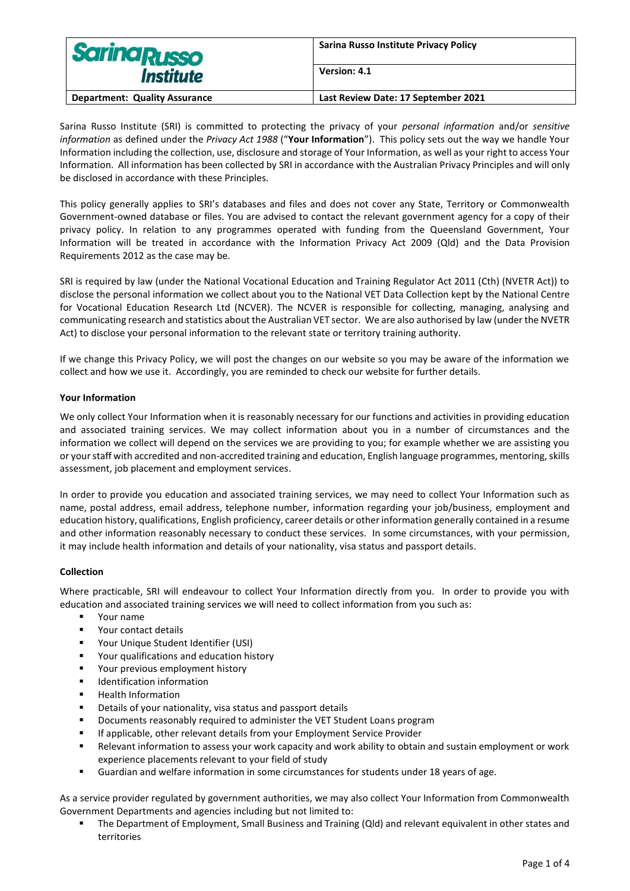| <b>Sarina Russo</b>                  | Sarina Russo Institute Privacy Policy |
|--------------------------------------|---------------------------------------|
| <i><b>Institute</b></i>              | Version: 4.1                          |
| <b>Department: Quality Assurance</b> | Last Review Date: 17 September 2021   |

Sarina Russo Institute (SRI) is committed to protecting the privacy of your *personal information* and/or *sensitive information* as defined under the *Privacy Act 1988* ("**Your Information**"). This policy sets out the way we handle Your Information including the collection, use, disclosure and storage of Your Information, as well as your right to access Your Information. All information has been collected by SRI in accordance with the Australian Privacy Principles and will only be disclosed in accordance with these Principles.

This policy generally applies to SRI's databases and files and does not cover any State, Territory or Commonwealth Government-owned database or files. You are advised to contact the relevant government agency for a copy of their privacy policy. In relation to any programmes operated with funding from the Queensland Government, Your Information will be treated in accordance with the Information Privacy Act 2009 (Qld) and the Data Provision Requirements 2012 as the case may be.

SRI is required by law (under the National Vocational Education and Training Regulator Act 2011 (Cth) (NVETR Act)) to disclose the personal information we collect about you to the National VET Data Collection kept by the National Centre for Vocational Education Research Ltd (NCVER). The NCVER is responsible for collecting, managing, analysing and communicating research and statistics about the Australian VET sector. We are also authorised by law (under the NVETR Act) to disclose your personal information to the relevant state or territory training authority.

If we change this Privacy Policy, we will post the changes on our website so you may be aware of the information we collect and how we use it. Accordingly, you are reminded to check our website for further details.

# **Your Information**

We only collect Your Information when it is reasonably necessary for our functions and activities in providing education and associated training services. We may collect information about you in a number of circumstances and the information we collect will depend on the services we are providing to you; for example whether we are assisting you or your staff with accredited and non-accredited training and education, English language programmes, mentoring, skills assessment, job placement and employment services.

In order to provide you education and associated training services, we may need to collect Your Information such as name, postal address, email address, telephone number, information regarding your job/business, employment and education history, qualifications, English proficiency, career details or other information generally contained in a resume and other information reasonably necessary to conduct these services. In some circumstances, with your permission, it may include health information and details of your nationality, visa status and passport details.

## **Collection**

Where practicable, SRI will endeavour to collect Your Information directly from you. In order to provide you with education and associated training services we will need to collect information from you such as:

- Your name
- Your contact details
- Your Unique Student Identifier (USI)
- Your qualifications and education history
- Your previous employment history
- Identification information
- Health Information
- Details of your nationality, visa status and passport details
- Documents reasonably required to administer the VET Student Loans program
- If applicable, other relevant details from your Employment Service Provider
- Relevant information to assess your work capacity and work ability to obtain and sustain employment or work experience placements relevant to your field of study
- Guardian and welfare information in some circumstances for students under 18 years of age.

As a service provider regulated by government authorities, we may also collect Your Information from Commonwealth Government Departments and agencies including but not limited to:

▪ The Department of Employment, Small Business and Training (Qld) and relevant equivalent in other states and territories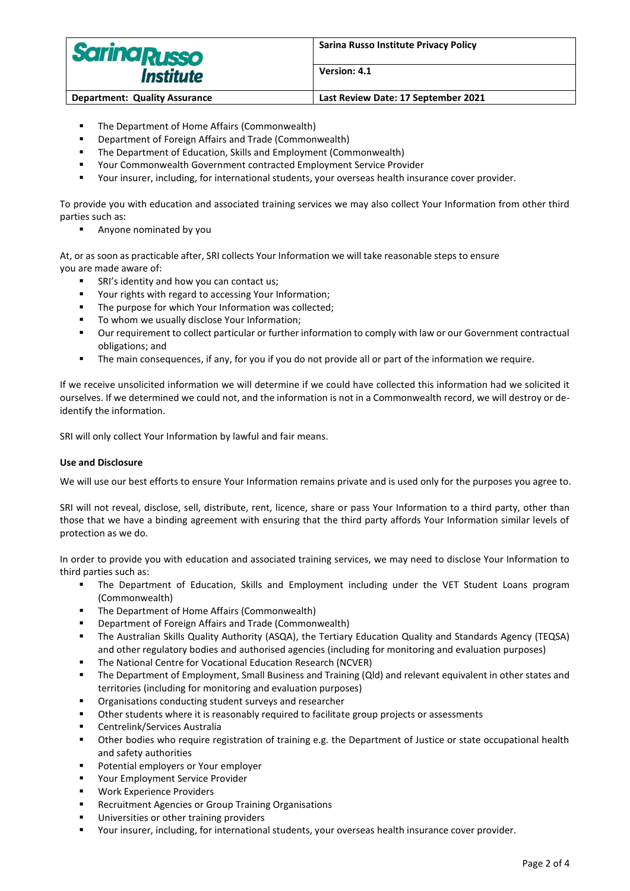

**Version: 4.1**

- The Department of Home Affairs (Commonwealth)
- Department of Foreign Affairs and Trade (Commonwealth)
- The Department of Education, Skills and Employment (Commonwealth)
- Your Commonwealth Government contracted Employment Service Provider
- Your insurer, including, for international students, your overseas health insurance cover provider.

To provide you with education and associated training services we may also collect Your Information from other third parties such as:

■ Anyone nominated by you

At, or as soon as practicable after, SRI collects Your Information we will take reasonable steps to ensure you are made aware of:

- SRI's identity and how you can contact us;
- Your rights with regard to accessing Your Information;
- The purpose for which Your Information was collected;
- To whom we usually disclose Your Information;
- Our requirement to collect particular or further information to comply with law or our Government contractual obligations; and
- The main consequences, if any, for you if you do not provide all or part of the information we require.

If we receive unsolicited information we will determine if we could have collected this information had we solicited it ourselves. If we determined we could not, and the information is not in a Commonwealth record, we will destroy or deidentify the information.

SRI will only collect Your Information by lawful and fair means.

## **Use and Disclosure**

We will use our best efforts to ensure Your Information remains private and is used only for the purposes you agree to.

SRI will not reveal, disclose, sell, distribute, rent, licence, share or pass Your Information to a third party, other than those that we have a binding agreement with ensuring that the third party affords Your Information similar levels of protection as we do.

In order to provide you with education and associated training services, we may need to disclose Your Information to third parties such as:

- **.** The Department of Education, Skills and Employment including under the VET Student Loans program (Commonwealth)
- The Department of Home Affairs (Commonwealth)
- Department of Foreign Affairs and Trade (Commonwealth)
- The Australian Skills Quality Authority (ASQA), the Tertiary Education Quality and Standards Agency (TEQSA) and other regulatory bodies and authorised agencies (including for monitoring and evaluation purposes)
- The National Centre for Vocational Education Research (NCVER)
- The Department of Employment, Small Business and Training (Qld) and relevant equivalent in other states and territories (including for monitoring and evaluation purposes)
- Organisations conducting student surveys and researcher
- Other students where it is reasonably required to facilitate group projects or assessments
- Centrelink/Services Australia
- Other bodies who require registration of training e.g. the Department of Justice or state occupational health and safety authorities
- Potential employers or Your employer
- Your Employment Service Provider
- Work Experience Providers
- Recruitment Agencies or Group Training Organisations
- Universities or other training providers
- Your insurer, including, for international students, your overseas health insurance cover provider.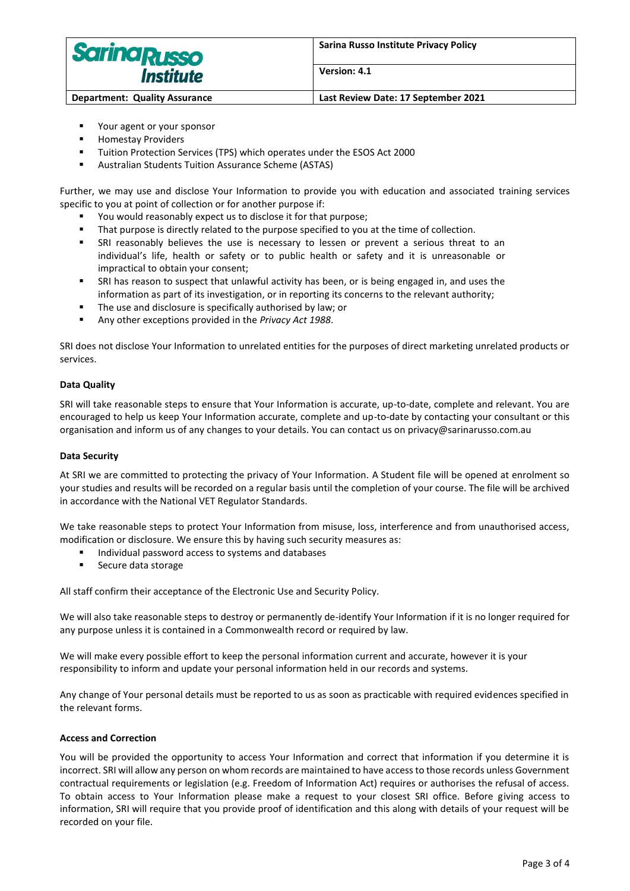

- Your agent or your sponsor
- Homestay Providers
- Tuition Protection Services (TPS) which operates under the ESOS Act 2000
- Australian Students Tuition Assurance Scheme (ASTAS)

Further, we may use and disclose Your Information to provide you with education and associated training services specific to you at point of collection or for another purpose if:

- You would reasonably expect us to disclose it for that purpose;
- That purpose is directly related to the purpose specified to you at the time of collection.
- **■** SRI reasonably believes the use is necessary to lessen or prevent a serious threat to an individual's life, health or safety or to public health or safety and it is unreasonable or impractical to obtain your consent;
- SRI has reason to suspect that unlawful activity has been, or is being engaged in, and uses the information as part of its investigation, or in reporting its concerns to the relevant authority;
- The use and disclosure is specifically authorised by law; or
- Any other exceptions provided in the *Privacy Act 1988*.

SRI does not disclose Your Information to unrelated entities for the purposes of direct marketing unrelated products or services.

## **Data Quality**

SRI will take reasonable steps to ensure that Your Information is accurate, up-to-date, complete and relevant. You are encouraged to help us keep Your Information accurate, complete and up-to-date by contacting your consultant or this organisation and inform us of any changes to your details. You can contact us on privacy@sarinarusso.com.au

## **Data Security**

At SRI we are committed to protecting the privacy of Your Information. A Student file will be opened at enrolment so your studies and results will be recorded on a regular basis until the completion of your course. The file will be archived in accordance with the National VET Regulator Standards.

We take reasonable steps to protect Your Information from misuse, loss, interference and from unauthorised access, modification or disclosure. We ensure this by having such security measures as:

- Individual password access to systems and databases
- Secure data storage

All staff confirm their acceptance of the Electronic Use and Security Policy.

We will also take reasonable steps to destroy or permanently de-identify Your Information if it is no longer required for any purpose unless it is contained in a Commonwealth record or required by law.

We will make every possible effort to keep the personal information current and accurate, however it is your responsibility to inform and update your personal information held in our records and systems.

Any change of Your personal details must be reported to us as soon as practicable with required evidences specified in the relevant forms.

## **Access and Correction**

You will be provided the opportunity to access Your Information and correct that information if you determine it is incorrect. SRI will allow any person on whom records are maintained to have access to those records unless Government contractual requirements or legislation (e.g. Freedom of Information Act) requires or authorises the refusal of access. To obtain access to Your Information please make a request to your closest SRI office. Before giving access to information, SRI will require that you provide proof of identification and this along with details of your request will be recorded on your file.